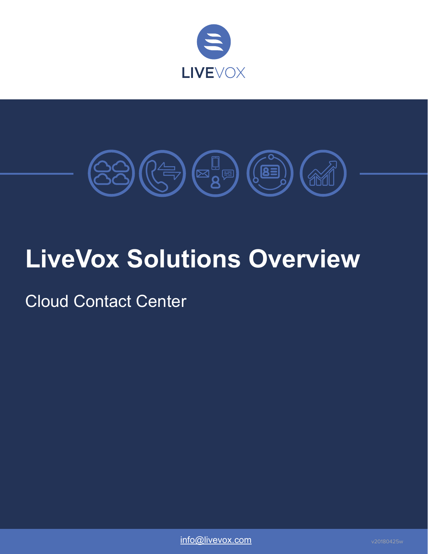



# **LiveVox Solutions Overview**

Cloud Contact Center

[info@livevox.com](mailto:info.livevox.com) v20180425w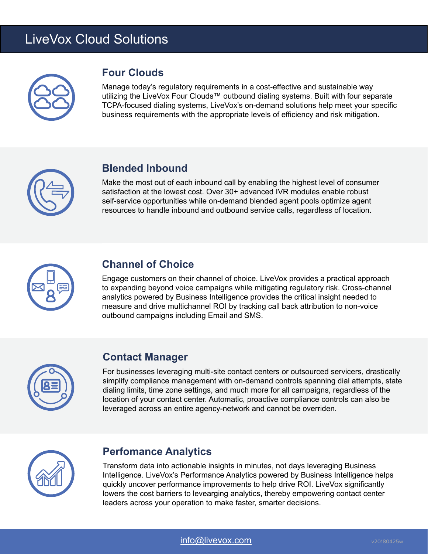# LiveVox Cloud Solutions



## **Four Clouds**

Manage today's regulatory requirements in a cost-effective and sustainable way utilizing the LiveVox Four Clouds™ outbound dialing systems. Built with four separate TCPA-focused dialing systems, LiveVox's on-demand solutions help meet your specific business requirements with the appropriate levels of efficiency and risk mitigation.



## **Blended Inbound**

Make the most out of each inbound call by enabling the highest level of consumer satisfaction at the lowest cost. Over 30+ advanced IVR modules enable robust self-service opportunities while on-demand blended agent pools optimize agent resources to handle inbound and outbound service calls, regardless of location.



## **Channel of Choice**

Engage customers on their channel of choice. LiveVox provides a practical approach to expanding beyond voice campaigns while mitigating regulatory risk. Cross-channel analytics powered by Business Intelligence provides the critical insight needed to measure and drive multichannel ROI by tracking call back attribution to non-voice outbound campaigns including Email and SMS.



## **Contact Manager**

For businesses leveraging multi-site contact centers or outsourced servicers, drastically simplify compliance management with on-demand controls spanning dial attempts, state dialing limits, time zone settings, and much more for all campaigns, regardless of the location of your contact center. Automatic, proactive compliance controls can also be leveraged across an entire agency-network and cannot be overriden.



## **Perfomance Analytics**

Transform data into actionable insights in minutes, not days leveraging Business Intelligence. LiveVox's Performance Analytics powered by Business Intelligence helps quickly uncover performance improvements to help drive ROI. LiveVox significantly lowers the cost barriers to levearging analytics, thereby empowering contact center leaders across your operation to make faster, smarter decisions.